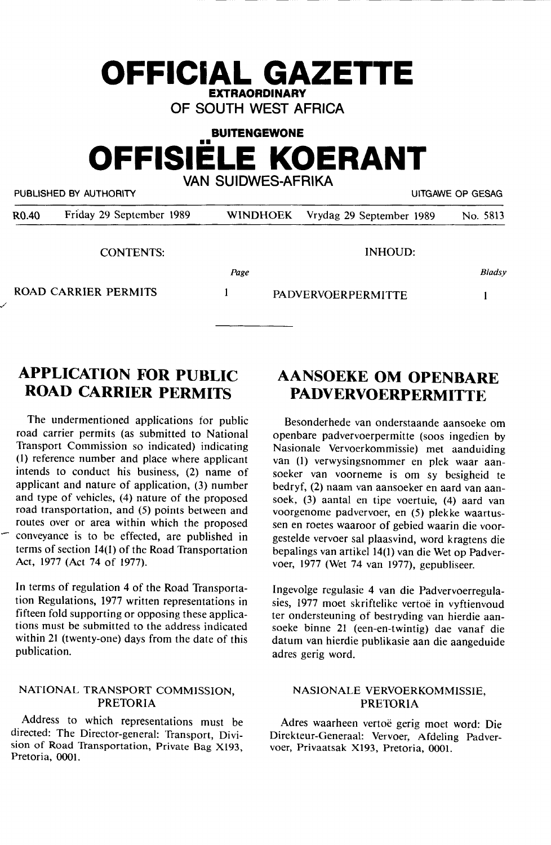# **EXTRAORDINARY OF SOUTH WEST AFRICA BUITENGEWONE OFFISIELE KOERANT VAN SUIDWES-AFRIKA**

**OFFICIAL GAZETTE** 

PUBLISHED BY AUTHORITY **EXECUTE A SECURE 2018 THE SECULAR SECURE 2019** UITGAWE OP GESAG

| R <sub>0.40</sub> | Friday 29 September 1989 | <b>WINDHOEK</b> | Vrydag 29 September 1989  | No. 5813 |
|-------------------|--------------------------|-----------------|---------------------------|----------|
|                   | <b>CONTENTS:</b>         |                 | INHOUD:                   |          |
|                   |                          | Page            |                           | Bladsy   |
|                   | ROAD CARRIER PERMITS     |                 | <b>PADVERVOERPERMITTE</b> |          |

# **APPLICATION FOR PUBLIC ROAD CARRIER PERMITS**

The undermentioned applications for public road carrier permits (as submitted to National Transport Commission so indicated) indicating (1) reference number and place where applicant intends to conduct his business, (2) name of applicant and nature of application, (3) number and type of vehicles, (4) nature of the proposed road transportation, and (5) points between and routes over or area within which the proposed conveyance is to be effected, are published in terms of section 14(1) of the Road Transportation Act, 1977 (Act 74 of 1977).

In terms of regulation 4 of the Road Transportation Regulations, 1977 written representations in fifteen fold supporting or opposing these applications must be submitted to the address indicated within 21 (twenty-one) days from the date of this publication.

#### NATIONAL TRANSPORT COMMISSION, PRETORIA

Address to which representations must be directed: The Director-general: Transport, Division of Road Transportation, Private Bag X193, Pretoria, 0001.

# **AANSOEKE OM OPENBARE PADVERVOERPERMITTE**

Besonderhede van onderstaande aansoeke om openbare padvervoerpermitte (soos ingedien by Nasionale Vervoerkommissie) met aanduiding van (1) verwysingsnommer en plek waar aansoeker van voorneme is om sy besigheid te bedryf, (2) naam van aansoeker en aard van aansoek, (3) aantal en tipe voertuie, (4) aard van voorgenome padvervoer, en (5) plekke waartussen en roetes waaroor of gebied waarin die voorgestelde vervoer sal plaasvind, word kragtens die bepalings van artikel 14(1) van die Wet op Padvervoer, 1977 (Wet 74 van 1977), gepubliseer.

lngevolge regulasie 4 van die Padvervoerregulasies, 1977 moet skriftelike vertoë in vyftienvoud ter ondersteuning of bestryding van hierdie aansoeke binne 21 (een-en-twintig) dae vanaf die datum van hierdie publikasie aan die aangeduide adres gerig word.

#### NASIONALE VERVOERKOMMISSIE, PRETORIA

Adres waarheen vertoe gerig moet word: Die Direkteur-Generaal: Vervoer, Afdeling Padvervoer, Privaatsak Xl93, Pretoria, 0001.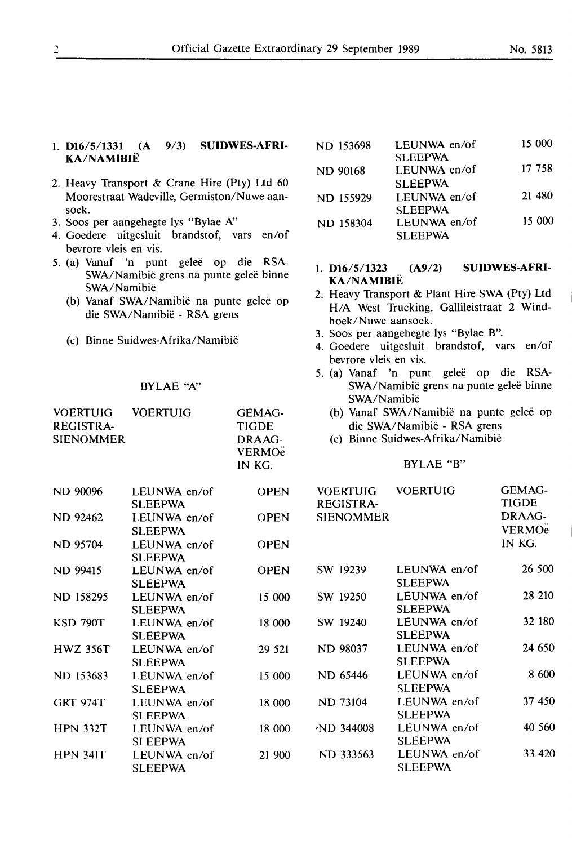### 1. **D16/5/1331 (A 9/3) SUIDWES-AFRI-KA/NAMIBIE**

- 2. Heavy Transport & Crane Hire (Pty) Ltd 60 Moorestraat Wadeville, Germiston/Nuwe aansoek.
- 3. Soos per aangehegte lys "Bylae N'
- 4. Goedere uitgesluit brandstof, vars en/of bevrore vleis en vis.
- *5.* (a) Vanaf 'n punt gelee op die **RSA-**SWA/Namibië grens na punte geleë binne SWA/Namibie
	- (b) Vanaf SWA/Namibië na punte geleë op die SWA/Namibie - RSA grens
	- (c) Binne Suidwes-Afrika/Namibie

#### BYLAE "A"

| VOERTUIG VOERTUIG<br><b>REGISTRA-</b><br><b>SIENOMMER</b> |                                | <b>GEMAG-</b><br><b>TIGDE</b><br>DRAAG-<br><b>VERMO<sub>e</sub></b><br>IN KG. |
|-----------------------------------------------------------|--------------------------------|-------------------------------------------------------------------------------|
| ND 90096                                                  | LEUNWA en/of<br><b>SLEEPWA</b> | OPEN                                                                          |
| ND 92462                                                  | LEUNWA en/of<br><b>SLEEPWA</b> | <b>OPEN</b>                                                                   |
| <b>ND 95704</b>                                           | LEUNWA en/of<br><b>SLEEPWA</b> | <b>OPEN</b>                                                                   |
| ND 99415                                                  | LEUNWA en/of<br><b>SLEEPWA</b> | <b>OPEN</b>                                                                   |
| ND 158295                                                 | LEUNWA en/of<br><b>SLEEPWA</b> | 15 000                                                                        |
| <b>KSD 790T</b>                                           | LEUNWA en/of<br><b>SLEEPWA</b> | 18 000                                                                        |
| <b>HWZ 356T</b>                                           | LEUNWA en/of<br><b>SLEEPWA</b> | 29 5 21                                                                       |
| ND 153683                                                 | LEUNWA en/of<br><b>SLEEPWA</b> | 15 000                                                                        |
| <b>GRT 974T</b>                                           | LEUNWA en/of<br><b>SLEEPWA</b> | 18 000                                                                        |
| <b>HPN 332T</b>                                           | LEUNWA en/of<br><b>SLEEPWA</b> | 18 000                                                                        |
| <b>HPN 341T</b>                                           | LEUNWA en/of<br><b>SLEEPWA</b> | 21 900                                                                        |

| ND 153698       | LEUNWA en/of    | 15 000 |
|-----------------|-----------------|--------|
|                 | <b>SLEEPWA</b>  |        |
| <b>ND 90168</b> | LEUNWA en/of    | 17 758 |
|                 | <b>SI EFPWA</b> |        |
| ND 155929       | LEUNWA en/of    | 21 480 |
|                 | <b>SLEEPWA</b>  |        |
| ND 158304       | LEUNWA en/of    | 15 000 |
|                 | <b>SLEEPWA</b>  |        |
|                 |                 |        |

- 1. **D16/5/1323 (A9/2) SUIDWES-AFRI-KA/NAMIBIE**
- 2. Heavy Transport & Plant Hire SWA (Pty) Ltd H/A West Trucking. Gallileistraat 2 Windhoek/Nuwe aansoek.
- 3. Soos per aangehegte lys "Bylae B".
- 4. Goedere uitgesluit brandstof, vars en/of bevrore vleis en vis.
- *5.* (a) Vanaf 'n punt gelee op die RSA-SWA/Namibië grens na punte geleë binne SWA/Namibie
	- (b) Vanaf SWA/Namibië na punte geleë op die SWA/Namibie - RSA grens
	- (c) Binne Suidwes-Afrika/Namibie

## BYLAE "B"

| <b>VOERTUIG</b>                | GEMAG-<br>TIGDE<br>DRAAG-<br><b>VERMO<sub>e</sub></b><br>IN KG. |
|--------------------------------|-----------------------------------------------------------------|
| LEUNWA en/of<br><b>SLEEPWA</b> | 26 500                                                          |
| LEUNWA en/of<br><b>SLEEPWA</b> | 28 210                                                          |
| LEUNWA en/of<br>SLEEPWA        | 32 180                                                          |
| LEUNWA en/of                   | 24 650                                                          |
| LEUNWA en/of                   | 8.600                                                           |
| LEUNWA en/of                   | 37 450                                                          |
| LEUNWA en/of                   | 40 560                                                          |
| LEUNWA en/of<br><b>SLEEPWA</b> | 33 420                                                          |
|                                | SLEEPWA<br><b>SLEEPWA</b><br><b>SLEEPWA</b><br><b>SLEEPWA</b>   |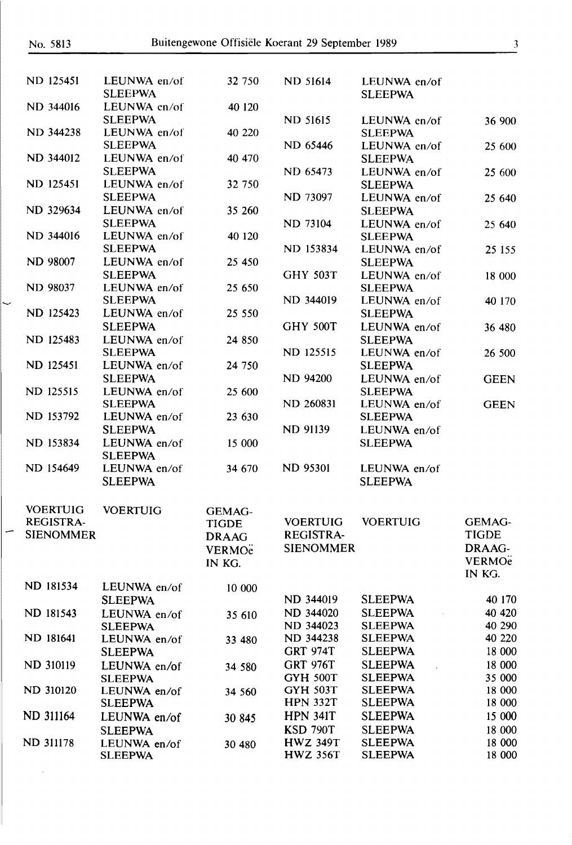Ĩ,

| <b>ND 125451</b> | LEUNWA en/of<br><b>SLEEPWA</b> | 32 750                   | <b>ND 51614</b>                    | LEUNWA en/of<br><b>SLEEPWA</b>   |                                    |
|------------------|--------------------------------|--------------------------|------------------------------------|----------------------------------|------------------------------------|
| ND 344016        | LEUNWA en/of<br><b>SLEEPWA</b> | 40 120                   | <b>ND 51615</b>                    | LEUNWA en/of                     | 36 900                             |
| <b>ND 344238</b> | LEUNWA en/of                   | 40 220                   |                                    | <b>SLEEPWA</b>                   |                                    |
|                  | <b>SLEEPWA</b>                 |                          | ND 65446                           | LEUNWA en/of                     | 25 600                             |
| ND 344012        | LEUNWA en/of<br><b>SLEEPWA</b> | 40 470                   | ND 65473                           | <b>SLEEPWA</b><br>LEUNWA en/of   |                                    |
| <b>ND 125451</b> | LEUNWA en/of                   | 32 750                   |                                    | <b>SLEEPWA</b>                   | 25 600                             |
|                  | <b>SLEEPWA</b>                 |                          | ND 73097                           | LEUNWA en/of                     | 25 640                             |
| ND 329634        | LEUNWA en/of                   | 35 260                   |                                    | <b>SLEEPWA</b>                   |                                    |
|                  | <b>SLEEPWA</b>                 |                          | <b>ND 73104</b>                    | LEUNWA en/of                     | 25 640                             |
| ND 344016        | LEUNWA en/of<br><b>SLEEPWA</b> | 40 120                   | ND 153834                          | <b>SLEEPWA</b><br>LEUNWA en/of   | 25 155                             |
| <b>ND 98007</b>  | LEUNWA en/of                   | 25 450                   |                                    | <b>SLEEPWA</b>                   |                                    |
|                  | <b>SLEEPWA</b>                 |                          | <b>GHY 503T</b>                    | LEUNWA en/of                     | 18 000                             |
| <b>ND 98037</b>  | LEUNWA en/of                   | 25 650                   |                                    | <b>SLEEPWA</b>                   |                                    |
|                  | <b>SLEEPWA</b>                 |                          | ND 344019                          | LEUNWA en/of                     | 40 170                             |
| ND 125423        | LEUNWA en/of<br><b>SLEEPWA</b> | 25 550                   | <b>GHY 500T</b>                    | <b>SLEEPWA</b><br>LEUNWA en/of   | 36 480                             |
| ND 125483        | LEUNWA en/of                   | 24 850                   |                                    | <b>SLEEPWA</b>                   |                                    |
|                  | <b>SLEEPWA</b>                 |                          | ND 125515                          | LEUNWA en/of                     | 26 500                             |
| ND 125451        | LEUNWA en/of                   | 24 750                   |                                    | <b>SLEEPWA</b>                   |                                    |
|                  | <b>SLEEPWA</b>                 |                          | <b>ND 94200</b>                    | LEUNWA en/of                     | <b>GEEN</b>                        |
| <b>ND 125515</b> | LEUNWA en/of<br><b>SLEEPWA</b> | 25 600                   | <b>ND 260831</b>                   | <b>SLEEPWA</b><br>LEUNWA en/of   | <b>GEEN</b>                        |
| ND 153792        | LEUNWA en/of                   | 23 630                   |                                    | <b>SLEEPWA</b>                   |                                    |
|                  | <b>SLEEPWA</b>                 |                          | <b>ND 91139</b>                    | LEUNWA en/of                     |                                    |
| ND 153834        | LEUNWA en/of                   | 15 000                   |                                    | <b>SLEEPWA</b>                   |                                    |
|                  | <b>SLEEPWA</b>                 |                          |                                    |                                  |                                    |
| ND 154649        | LEUNWA en/of<br><b>SLEEPWA</b> | 34 670                   | <b>ND 95301</b>                    | LEUNWA en/of<br><b>SLEEPWA</b>   |                                    |
| <b>VOERTUIG</b>  | <b>VOERTUIG</b>                | <b>GEMAG-</b>            |                                    |                                  |                                    |
| REGISTRA-        |                                | TIGDE                    |                                    | VOERTUIG VOERTUIG                | <b>GEMAG-</b>                      |
| <b>SIENOMMER</b> |                                | <b>DRAAG</b>             | <b>REGISTRA-</b>                   |                                  | <b>TIGDE</b>                       |
|                  |                                | <b>VERMO<sub>e</sub></b> | <b>SIENOMMER</b>                   |                                  | DRAAG-                             |
|                  |                                | IN KG.                   |                                    |                                  | <b>VERMO<sub>e</sub></b><br>IN KG. |
| ND 181534        | LEUNWA en/of                   | 10 000                   |                                    |                                  |                                    |
|                  | <b>SLEEPWA</b>                 |                          | ND 344019                          | <b>SLEEPWA</b>                   | 40 170                             |
| ND 181543        | LEUNWA en/of                   | 35 610                   | ND 344020                          | <b>SLEEPWA</b>                   | 40 420                             |
|                  | <b>SLEEPWA</b>                 |                          | ND 344023                          | <b>SLEEPWA</b>                   | 40 290                             |
| ND 181641        | LEUNWA en/of                   | 33 480                   | ND 344238<br><b>GRT 974T</b>       | <b>SLEEPWA</b><br><b>SLEEPWA</b> | 40 220<br>18 000                   |
| ND 310119        | <b>SLEEPWA</b><br>LEUNWA en/of |                          | <b>GRT 976T</b>                    | <b>SLEEPWA</b>                   | 18 000                             |
|                  | <b>SLEEPWA</b>                 | 34 580                   | <b>GYH 500T</b>                    | <b>SLEEPWA</b>                   | 35 000                             |
| ND 310120        | LEUNWA en/of                   | 34 560                   | <b>GYH 503T</b>                    | <b>SLEEPWA</b>                   | 18 000                             |
|                  | <b>SLEEPWA</b>                 |                          | <b>HPN 332T</b>                    | <b>SLEEPWA</b>                   | 18 000                             |
| ND 311164        | LEUNWA en/of                   | 30 845                   | <b>HPN 341T</b>                    | <b>SLEEPWA</b>                   | 15 000                             |
| ND 311178        | <b>SLEEPWA</b>                 |                          | <b>KSD 790T</b><br><b>HWZ 349T</b> | <b>SLEEPWA</b><br><b>SLEEPWA</b> | 18 000<br>18 000                   |
|                  | LEUNWA en/of<br><b>SLEEPWA</b> | 30 480                   | <b>HWZ 356T</b>                    | <b>SLEEPWA</b>                   | 18 000                             |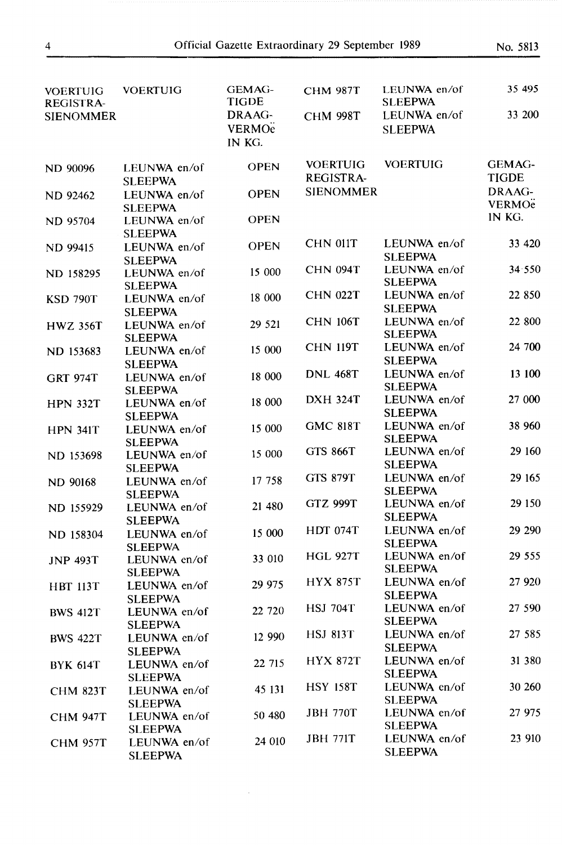| <b>VOERTUIG</b><br><b>REGISTRA-</b> | <b>VOERTUIG</b>                                  | <b>GEMAG-</b><br><b>TIGDE</b>                | <b>CHM 987T</b>                     | LEUNWA en/of<br><b>SLEEPWA</b> | 35 495                             |
|-------------------------------------|--------------------------------------------------|----------------------------------------------|-------------------------------------|--------------------------------|------------------------------------|
| <b>SIENOMMER</b>                    |                                                  | DRAAG-<br><b>VERMO<sub>e</sub></b><br>IN KG. | <b>CHM 998T</b>                     | LEUNWA en/of<br><b>SLEEPWA</b> | 33 200                             |
| <b>ND 90096</b>                     | LEUNWA en/of<br><b>SLEEPWA</b>                   | <b>OPEN</b>                                  | <b>VOERTUIG</b><br><b>REGISTRA-</b> | <b>VOERTUIG</b>                | <b>GEMAG-</b><br><b>TIGDE</b>      |
| <b>ND 92462</b>                     | LEUNWA en/of<br><b>SLEEPWA</b>                   | <b>OPEN</b>                                  | <b>SIENOMMER</b>                    |                                | DRAAG-<br><b>VERMO<sub>e</sub></b> |
| <b>ND 95704</b>                     | LEUNWA en/of<br><b>SLEEPWA</b>                   | <b>OPEN</b>                                  |                                     |                                | IN KG.                             |
| ND 99415                            | LEUNWA en/of<br><b>SLEEPWA</b>                   | <b>OPEN</b>                                  | <b>CHN 011T</b>                     | LEUNWA en/of<br><b>SLEEPWA</b> | 33 4 20                            |
| <b>ND 158295</b>                    | LEUNWA en/of<br><b>SLEEPWA</b>                   | 15 000                                       | <b>CHN 094T</b>                     | LEUNWA en/of<br><b>SLEEPWA</b> | 34.550                             |
| <b>KSD 790T</b>                     | LEUNWA en/of<br><b>SLEEPWA</b>                   | 18 000                                       | <b>CHN 022T</b>                     | LEUNWA en/of<br><b>SLEEPWA</b> | 22 850                             |
| <b>HWZ 356T</b>                     | LEUNWA en/of<br><b>SLEEPWA</b>                   | 29 521                                       | <b>CHN 106T</b>                     | LEUNWA en/of<br><b>SLEEPWA</b> | 22 800                             |
| ND 153683                           | LEUNWA en/of<br><b>SLEEPWA</b>                   | 15 000                                       | <b>CHN 119T</b>                     | LEUNWA en/of<br><b>SLEEPWA</b> | 24 700                             |
| <b>GRT 974T</b>                     | LEUNWA en/of<br><b>SLEEPWA</b>                   | 18 000                                       | <b>DNL 468T</b>                     | LEUNWA en/of<br><b>SLEEPWA</b> | 13 100                             |
| <b>HPN 332T</b>                     | LEUNWA en/of<br><b>SLEEPWA</b>                   | 18 000                                       | <b>DXH 324T</b>                     | LEUNWA en/of<br><b>SLEEPWA</b> | 27 000                             |
| <b>HPN 341T</b>                     | LEUNWA en/of<br><b>SLEEPWA</b>                   | 15 000                                       | <b>GMC 818T</b>                     | LEUNWA en/of<br><b>SLEEPWA</b> | 38 960                             |
| ND 153698                           | LEUNWA en/of<br><b>SLEEPWA</b>                   | 15 000                                       | <b>GTS 866T</b>                     | LEUNWA en/of<br><b>SLEEPWA</b> | 29 160                             |
| <b>ND 90168</b>                     | LEUNWA en/of<br><b>SLEEPWA</b>                   | 17 758                                       | <b>GTS 879T</b>                     | LEUNWA en/of<br><b>SLEEPWA</b> | 29 165                             |
| ND 155929                           | LEUNWA en/of<br><b>SLEEPWA</b>                   | 21 480                                       | <b>GTZ 999T</b>                     | LEUNWA en/of<br><b>SLEEPWA</b> | 29 150                             |
| ND 158304                           | LEUNWA en/of                                     | 15 000                                       | <b>HDT 074T</b>                     | LEUNWA en/of<br><b>SLEEPWA</b> | 29 290                             |
| <b>JNP 493T</b>                     | <b>SLEEPWA</b><br>LEUNWA en/of<br><b>SLEEPWA</b> | 33 010                                       | <b>HGL 927T</b>                     | LEUNWA en/of<br><b>SLEEPWA</b> | 29 555                             |
| <b>HBT 113T</b>                     | LEUNWA en/of                                     | 29 975                                       | <b>HYX 875T</b>                     | LEUNWA en/of<br><b>SLEEPWA</b> | 27 9 20                            |
| <b>BWS 412T</b>                     | <b>SLEEPWA</b><br>LEUNWA en/of<br><b>SLEEPWA</b> | 22 720                                       | <b>HSJ 704T</b>                     | LEUNWA en/of<br><b>SLEEPWA</b> | 27 590                             |
| <b>BWS 422T</b>                     | LEUNWA en/of                                     | 12 990                                       | <b>HSJ 813T</b>                     | LEUNWA en/of<br><b>SLEEPWA</b> | 27 585                             |
| <b>BYK 614T</b>                     | <b>SLEEPWA</b><br>LEUNWA en/of                   | 22 715                                       | <b>HYX 872T</b>                     | LEUNWA en/of<br><b>SLEEPWA</b> | 31 380                             |
| <b>CHM 823T</b>                     | <b>SLEEPWA</b><br>LEUNWA en/of                   | 45 131                                       | <b>HSY 158T</b>                     | LEUNWA en/of<br><b>SLEEPWA</b> | 30 260                             |
| <b>CHM 947T</b>                     | <b>SLEEPWA</b><br>LEUNWA en/of                   | 50 480                                       | <b>JBH 770T</b>                     | LEUNWA en/of<br><b>SLEEPWA</b> | 27 975                             |
| <b>CHM 957T</b>                     | <b>SLEEPWA</b><br>LEUNWA en/of<br><b>SLEEPWA</b> | 24 010                                       | <b>JBH 771T</b>                     | LEUNWA en/of<br><b>SLEEPWA</b> | 23 910                             |

 $\bar{\beta}$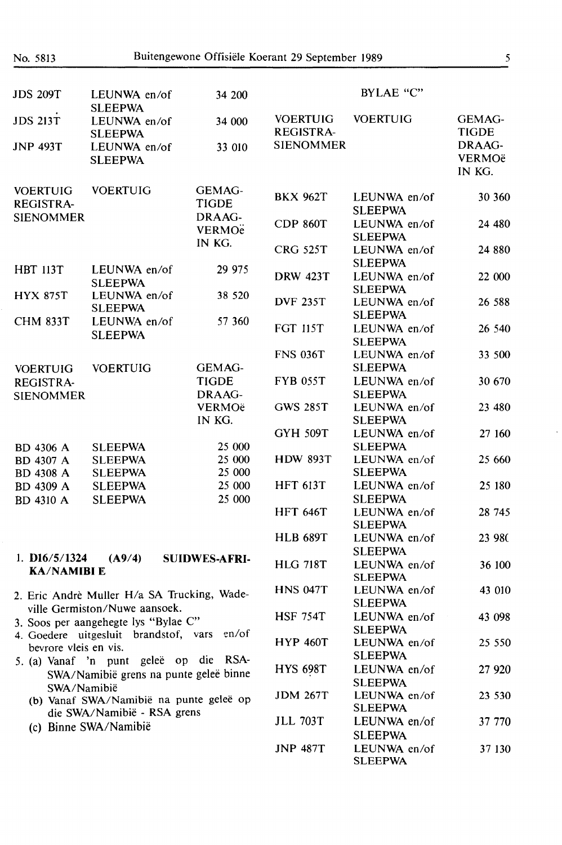| <b>JDS 209T</b>                                                                                                                                                                                                    | LEUNWA en/of                                                                 | 34 200                             |                                     | BYLAE "C"                      |                                   |
|--------------------------------------------------------------------------------------------------------------------------------------------------------------------------------------------------------------------|------------------------------------------------------------------------------|------------------------------------|-------------------------------------|--------------------------------|-----------------------------------|
| <b>JDS 213T</b>                                                                                                                                                                                                    | <b>SLEEPWA</b><br>LEUNWA en/of                                               | 34 000                             | <b>VOERTUIG</b><br><b>REGISTRA-</b> | <b>VOERTUIG</b>                | GEMAG-<br><b>TIGDE</b>            |
| <b>JNP 493T</b>                                                                                                                                                                                                    | <b>SLEEPWA</b><br>LEUNWA en/of<br><b>SLEEPWA</b>                             | 33 010                             | <b>SIENOMMER</b>                    |                                | DRAAG-<br><b>VERMOë</b><br>IN KG. |
| <b>VOERTUIG</b><br>REGISTRA-                                                                                                                                                                                       | <b>VOERTUIG</b>                                                              | <b>GEMAG-</b><br><b>TIGDE</b>      | <b>BKX 962T</b>                     | LEUNWA en/of<br><b>SLEEPWA</b> | 30 360                            |
| <b>SIENOMMER</b>                                                                                                                                                                                                   |                                                                              | DRAAG-<br><b>VERMO<sub>e</sub></b> | <b>CDP 860T</b>                     | LEUNWA en/of<br><b>SLEEPWA</b> | 24 480                            |
|                                                                                                                                                                                                                    |                                                                              | IN KG.                             | <b>CRG 525T</b>                     | LEUNWA en/of<br><b>SLEEPWA</b> | 24 880                            |
| <b>HBT 113T</b>                                                                                                                                                                                                    | LEUNWA en/of<br><b>SLEEPWA</b>                                               | 29 975                             | <b>DRW 423T</b>                     | LEUNWA en/of<br><b>SLEEPWA</b> | 22 000                            |
| <b>HYX 875T</b>                                                                                                                                                                                                    | LEUNWA en/of<br><b>SLEEPWA</b>                                               | 38 520                             | <b>DVF 235T</b>                     | LEUNWA en/of<br><b>SLEEPWA</b> | 26 588                            |
| <b>CHM 833T</b>                                                                                                                                                                                                    | LEUNWA en/of<br><b>SLEEPWA</b>                                               | 57 360                             | <b>FGT 115T</b>                     | LEUNWA en/of<br><b>SLEEPWA</b> | 26 540                            |
| <b>VOERTUIG</b>                                                                                                                                                                                                    | <b>VOERTUIG</b>                                                              | <b>GEMAG-</b>                      | <b>FNS 036T</b>                     | LEUNWA en/of<br><b>SLEEPWA</b> | 33 500                            |
| <b>REGISTRA-</b><br><b>SIENOMMER</b>                                                                                                                                                                               |                                                                              | <b>TIGDE</b><br>DRAAG-             | <b>FYB 055T</b>                     | LEUNWA en/of<br><b>SLEEPWA</b> | 30 670                            |
|                                                                                                                                                                                                                    |                                                                              | <b>VERMOë</b><br>IN KG.            | <b>GWS 285T</b>                     | LEUNWA en/of<br><b>SLEEPWA</b> | 23 480                            |
| <b>BD</b> 4306 A                                                                                                                                                                                                   | <b>SLEEPWA</b>                                                               | 25 000                             | <b>GYH 509T</b>                     | LEUNWA en/of<br><b>SLEEPWA</b> | 27 160                            |
| <b>BD 4307 A</b><br><b>BD 4308 A</b>                                                                                                                                                                               | <b>SLEEPWA</b><br><b>SLEEPWA</b>                                             | 25 000<br>25 000                   | <b>HDW 893T</b>                     | LEUNWA en/of<br><b>SLEEPWA</b> | 25 660                            |
| <b>BD 4309 A</b><br><b>BD 4310 A</b>                                                                                                                                                                               | <b>SLEEPWA</b><br><b>SLEEPWA</b>                                             | 25 000<br>25 000                   | <b>HFT 613T</b>                     | LEUNWA en/of<br><b>SLEEPWA</b> | 25 180                            |
|                                                                                                                                                                                                                    |                                                                              |                                    | <b>HFT 646T</b>                     | LEUNWA en/of<br><b>SLEEPWA</b> | 28 745                            |
| 1. $D16/5/1324$                                                                                                                                                                                                    | (A9/4)                                                                       | <b>SUIDWES-AFRI-</b>               | <b>HLB 689T</b>                     | LEUNWA en/of<br><b>SLEEPWA</b> | 23 980                            |
| <b>KA/NAMIBI E</b>                                                                                                                                                                                                 |                                                                              |                                    | <b>HLG 718T</b>                     | LEUNWA en/of<br><b>SLEEPWA</b> | 36 100                            |
|                                                                                                                                                                                                                    | 2. Eric Andrè Muller H/a SA Trucking, Wade-<br>ville Germiston/Nuwe aansoek. |                                    | <b>HNS 047T</b>                     | LEUNWA en/of<br><b>SLEEPWA</b> | 43 010                            |
| 3. Soos per aangehegte lys "Bylae C"<br>en/of<br>4. Goedere uitgesluit brandstof, vars<br>bevrore vleis en vis.<br>5. (a) Vanaf 'n punt geleë op die RSA-<br>SWA/Namibië grens na punte geleë binne<br>SWA/Namibië |                                                                              | <b>HSF 754T</b>                    | LEUNWA en/of<br><b>SLEEPWA</b>      | 43 098                         |                                   |
|                                                                                                                                                                                                                    |                                                                              | <b>HYP 460T</b>                    | LEUNWA en/of<br><b>SLEEPWA</b>      | 25 550                         |                                   |
|                                                                                                                                                                                                                    |                                                                              | <b>HYS 698T</b>                    | LEUNWA en/of<br><b>SLEEPWA</b>      | 27 9 20                        |                                   |
|                                                                                                                                                                                                                    | (b) Vanaf SWA/Namibië na punte geleë op<br>die SWA/Namibië - RSA grens       |                                    | <b>JDM 267T</b>                     | LEUNWA en/of<br><b>SLEEPWA</b> | 23 530                            |
|                                                                                                                                                                                                                    | (c) Binne SWA/Namibië                                                        |                                    | <b>JLL 703T</b>                     | LEUNWA en/of<br><b>SLEEPWA</b> | 37 770                            |
|                                                                                                                                                                                                                    |                                                                              |                                    | <b>JNP 487T</b>                     | LEUNWA en/of                   | 37 130                            |

SLEEPWA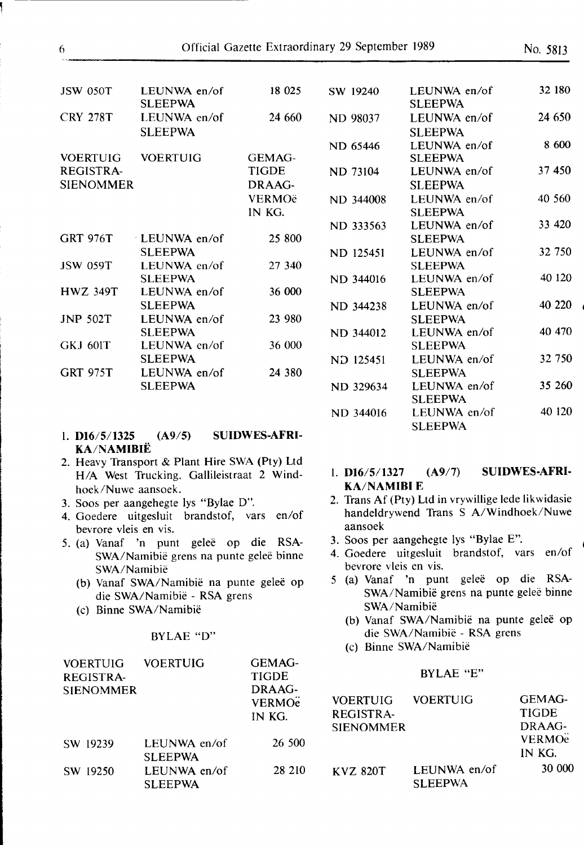| <b>JSW 050T</b>  | LEUNWA en/of<br><b>SLEEPWA</b> | 18 025        | SW 19240        | LEUNWA en/of<br><b>SLEEPWA</b> | 32 180  |
|------------------|--------------------------------|---------------|-----------------|--------------------------------|---------|
| <b>CRY 278T</b>  | LEUNWA en/of                   | 24 660        | <b>ND 98037</b> | LEUNWA en/of                   | 24 650  |
|                  | <b>SLEEPWA</b>                 |               |                 | <b>SLEEPWA</b>                 |         |
|                  |                                |               | ND 65446        | LEUNWA en/of                   | 8 600   |
| <b>VOERTUIG</b>  | <b>VOERTUIG</b>                | <b>GEMAG-</b> |                 | <b>SLEEPWA</b>                 |         |
| <b>REGISTRA-</b> |                                | <b>TIGDE</b>  | ND 73104        | LEUNWA en/of                   | 37 450  |
| <b>SIENOMMER</b> |                                | DRAAG-        |                 | <b>SLEEPWA</b>                 |         |
|                  |                                | <b>VERMOë</b> | ND 344008       | LEUNWA en/of                   | 40 560  |
|                  |                                | IN KG.        |                 | <b>SLEEPWA</b>                 |         |
|                  |                                |               | ND 333563       | LEUNWA en/of                   | 33 4 20 |
| <b>GRT 976T</b>  | LEUNWA en/of                   | 25 800        |                 | <b>SLEEPWA</b>                 |         |
|                  | <b>SLEEPWA</b>                 |               | ND 125451       | LEUNWA en/of                   | 32 750  |
| <b>JSW 059T</b>  | LEUNWA en/of                   | 27 340        |                 | <b>SLEEPWA</b>                 |         |
|                  | <b>SLEEPWA</b>                 |               | ND 344016       | LEUNWA en/of                   | 40 120  |
| <b>HWZ 349T</b>  | LEUNWA en/of                   | 36 000        |                 | <b>SLEEPWA</b>                 |         |
|                  | <b>SLEEPWA</b>                 |               | ND 344238       | LEUNWA en/of                   | 40 220  |
| <b>JNP 502T</b>  | LEUNWA en/of                   | 23 980        |                 | <b>SLEEPWA</b>                 |         |
|                  | <b>SLEEPWA</b>                 |               | ND 344012       | LEUNWA en/of                   | 40 470  |
| <b>GKJ 601T</b>  | LEUNWA en/of                   | 36 000        |                 | <b>SLEEPWA</b>                 |         |
|                  | <b>SLEEPWA</b>                 |               | ND 125451       | LEUNWA en/of                   | 32 750  |
| <b>GRT 975T</b>  | LEUNWA en/of                   | 24 380        |                 | <b>SLEEPWA</b>                 |         |
|                  | <b>SLEEPWA</b>                 |               | ND 329634       | LEUNWA en/of                   | 35 260  |
|                  |                                |               |                 | <b>SLEEPWA</b>                 |         |

ND 344016

- l. **D16/5/1325 (A9/S) SUIDWES-AFRI-KA/NAMIBIE**
- 2. Heavy Transport & Plant Hire SWA (Pty) Ltd **H/A** West Trucking. Gallileistraat 2 Windhoek/Nuwe aansoek.
- 3. Soos per aangehegte lys "Bylae D".
- 4. Goedere uitgesluit brandstof, vars en/of bevrore vleis en vis.
- *5.* (a) Vanaf 'n punt gelee op die RSA-SWA/Namibië grens na punte geleë binne SWA/Namibie
	- (b) Vanaf SWA/Namibië na punte geleë op die SWA/Namibie - RSA grens
	- (c) Binne SWA/Namibie

### BYLAE "D"

| <b>VOERTUIG</b>  | <b>VOERTUIG</b>                | <b>GEMAG-</b> |
|------------------|--------------------------------|---------------|
| <b>REGISTRA-</b> |                                | <b>TIGDE</b>  |
| <b>SIENOMMER</b> |                                | DRAAG-        |
|                  |                                | <b>VERMOe</b> |
|                  |                                | IN KG.        |
| SW 19239         | LEUNWA en/of<br><b>SLEEPWA</b> | 26 500        |
| SW 19250         | LEUNWA en/of<br><b>SLEEPWA</b> | 28 210        |

| 1. D16/5/1327      | (A9/7) | <b>SUIDWES-AFRI-</b> |
|--------------------|--------|----------------------|
| <b>KA/NAMIBI E</b> |        |                      |

LEUNWA en/of SLEEPWA

- 2. Trans Af (Pty) Ltd in vrywillige lede likwidasie handeldrywend Trans S A/Windhoek/Nuwe aansoek
- 3. Soos per aangehegte lys "Bylae E".
- 4. Goedere uitgesluit brandstof, vars en/of bevrore vleis en vis.
- *5* (a) Vanaf 'n punt gelee op die RSA-SWA/Namibië grens na punte geleë binne SWA/Namibie
	- (b) Vanaf SWA/Namibië na punte geleë op die SWA/Namibie - RSA grens
	- (c) Binne SWA/Namibie

#### BYLAE "E"

| <b>VOERTUIG</b>  | <b>VOERTUIG</b>                 | GEMAG-                   |
|------------------|---------------------------------|--------------------------|
| <b>REGISTRA-</b> |                                 | <b>TIGDE</b>             |
| <b>SIENOMMER</b> |                                 | DRAAG-                   |
|                  |                                 | <b>VERMO<sub>e</sub></b> |
|                  |                                 | IN KG.                   |
| KVZ 820T         | LEUNWA en/of<br><b>SI FEPWA</b> | 30 000                   |

40 120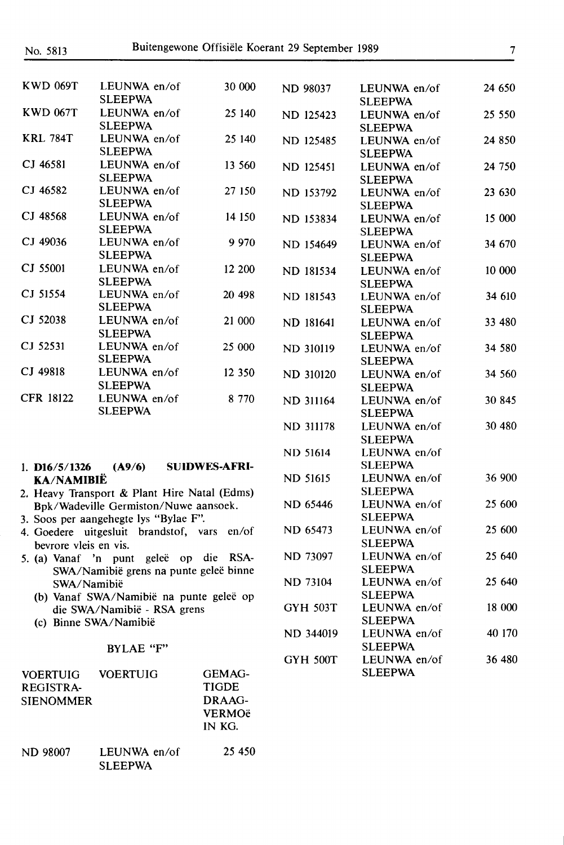**ND** 98007 LEUNWA en/of

SLEEPWA

| <b>KWD 069T</b>                     | LEUNWA en/of                                 | 30 000               | <b>ND 98037</b>  | LEUNWA en/of                   | 24 650 |
|-------------------------------------|----------------------------------------------|----------------------|------------------|--------------------------------|--------|
|                                     | <b>SLEEPWA</b>                               |                      |                  | <b>SLEEPWA</b>                 |        |
| <b>KWD 067T</b>                     | LEUNWA en/of<br><b>SLEEPWA</b>               | 25 140               | ND 125423        | LEUNWA en/of                   | 25 550 |
| <b>KRL 784T</b>                     | LEUNWA en/of                                 | 25 140               |                  | <b>SLEEPWA</b>                 |        |
|                                     | <b>SLEEPWA</b>                               |                      | ND 125485        | LEUNWA en/of                   | 24 850 |
| CJ 46581                            | LEUNWA en/of                                 | 13 560               | ND 125451        | <b>SLEEPWA</b><br>LEUNWA en/of | 24 750 |
|                                     | <b>SLEEPWA</b>                               |                      |                  | <b>SLEEPWA</b>                 |        |
| CJ 46582                            | LEUNWA en/of                                 | 27 150               | ND 153792        | LEUNWA en/of                   | 23 630 |
|                                     | <b>SLEEPWA</b>                               |                      |                  | <b>SLEEPWA</b>                 |        |
| CJ 48568                            | LEUNWA en/of                                 | 14 150               | ND 153834        | LEUNWA en/of                   | 15 000 |
|                                     | <b>SLEEPWA</b>                               |                      |                  | <b>SLEEPWA</b>                 |        |
| CJ 49036                            | LEUNWA en/of                                 | 9 9 7 0              | ND 154649        | LEUNWA en/of                   | 34 670 |
|                                     | <b>SLEEPWA</b>                               |                      |                  | <b>SLEEPWA</b>                 |        |
| CJ 55001                            | LEUNWA en/of                                 | 12 200               | ND 181534        | LEUNWA en/of                   | 10 000 |
|                                     | <b>SLEEPWA</b>                               |                      |                  | <b>SLEEPWA</b>                 |        |
| CJ 51554                            | LEUNWA en/of                                 | 20 498               | ND 181543        | LEUNWA en/of                   | 34 610 |
|                                     | <b>SLEEPWA</b>                               |                      |                  | <b>SLEEPWA</b>                 |        |
| CJ 52038                            | LEUNWA en/of                                 | 21 000               | ND 181641        | LEUNWA en/of                   | 33 480 |
| CJ 52531                            | <b>SLEEPWA</b>                               |                      |                  | <b>SLEEPWA</b>                 |        |
|                                     | LEUNWA en/of<br><b>SLEEPWA</b>               | 25 000               | <b>ND 310119</b> | LEUNWA en/of                   | 34 580 |
| CJ 49818                            | LEUNWA en/of                                 | 12 350               |                  | <b>SLEEPWA</b>                 |        |
|                                     | <b>SLEEPWA</b>                               |                      | ND 310120        | LEUNWA en/of                   | 34 560 |
| <b>CFR 18122</b>                    | LEUNWA en/of                                 | 8 7 7 0              |                  | <b>SLEEPWA</b>                 | 30 845 |
|                                     | <b>SLEEPWA</b>                               |                      | ND 311164        | LEUNWA en/of<br><b>SLEEPWA</b> |        |
|                                     |                                              |                      | <b>ND 311178</b> | LEUNWA en/of                   | 30 480 |
|                                     |                                              |                      |                  | <b>SLEEPWA</b>                 |        |
|                                     |                                              |                      | <b>ND 51614</b>  | LEUNWA en/of                   |        |
| 1. $D16/5/1326$                     | (A9/6)                                       | <b>SUIDWES-AFRI-</b> |                  | <b>SLEEPWA</b>                 |        |
| <b>KA/NAMIBIË</b>                   |                                              |                      | <b>ND 51615</b>  | LEUNWA en/of                   | 36 900 |
|                                     | 2. Heavy Transport & Plant Hire Natal (Edms) |                      |                  | <b>SLEEPWA</b>                 |        |
|                                     | Bpk/Wadeville Germiston/Nuwe aansoek.        |                      | ND 65446         | LEUNWA en/of                   | 25 600 |
|                                     | 3. Soos per aangehegte lys "Bylae F".        |                      |                  | <b>SLEEPWA</b>                 |        |
|                                     | 4. Goedere uitgesluit brandstof, vars en/of  |                      | ND 65473         | LEUNWA en/of                   | 25 600 |
| bevrore vleis en vis.               |                                              |                      |                  | <b>SLEEPWA</b>                 |        |
|                                     | 5. (a) Vanaf 'n punt geleë op die RSA-       |                      | ND 73097         | LEUNWA en/of                   | 25 640 |
|                                     | SWA/Namibië grens na punte geleë binne       |                      |                  | <b>SLEEPWA</b>                 |        |
| SWA/Namibië                         |                                              |                      | <b>ND 73104</b>  | LEUNWA en/of                   | 25 640 |
|                                     | (b) Vanaf SWA/Namibië na punte geleë op      |                      |                  | <b>SLEEPWA</b>                 |        |
|                                     | die SWA/Namibië - RSA grens                  |                      | <b>GYH 503T</b>  | LEUNWA en/of                   | 18 000 |
|                                     | (c) Binne SWA/Namibië                        |                      |                  | <b>SLEEPWA</b>                 |        |
|                                     |                                              |                      | ND 344019        | LEUNWA en/of<br><b>SLEEPWA</b> | 40 170 |
|                                     | BYLAE "F"                                    |                      | <b>GYH 500T</b>  | LEUNWA en/of                   | 36 480 |
|                                     |                                              | GEMAG-               |                  | <b>SLEEPWA</b>                 |        |
| <b>VOERTUIG</b><br><b>REGISTRA-</b> | <b>VOERTUIG</b>                              | <b>TIGDE</b>         |                  |                                |        |
| <b>SIENOMMER</b>                    |                                              | DRAAG-               |                  |                                |        |
|                                     |                                              |                      |                  |                                |        |

**VERMOë IN KG.** 

25 450

7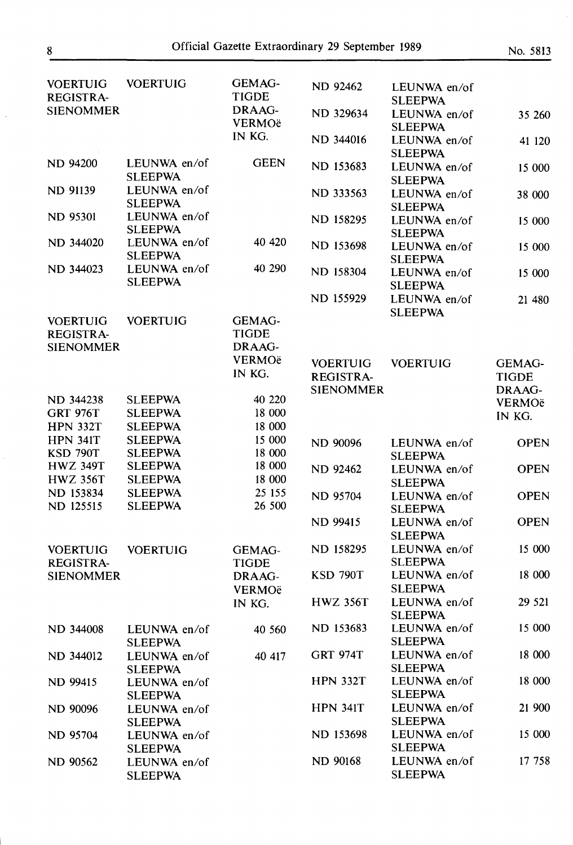| <b>VOERTUIG</b><br><b>REGISTRA-</b> | <b>VOERTUIG</b>                  | GEMAG-<br><b>TIGDE</b>        | <b>ND 92462</b>  | LEUNWA en/of<br><b>SLEEPWA</b> |               |
|-------------------------------------|----------------------------------|-------------------------------|------------------|--------------------------------|---------------|
| <b>SIENOMMER</b>                    |                                  | DRAAG-<br><b>VERMOë</b>       | ND 329634        | LEUNWA en/of<br><b>SLEEPWA</b> | 35 260        |
|                                     |                                  | IN KG.                        | ND 344016        | LEUNWA en/of<br><b>SLEEPWA</b> | 41 120        |
| <b>ND 94200</b>                     | LEUNWA en/of<br><b>SLEEPWA</b>   | <b>GEEN</b>                   | ND 153683        | LEUNWA en/of<br><b>SLEEPWA</b> | 15 000        |
| <b>ND 91139</b>                     | LEUNWA en/of<br><b>SLEEPWA</b>   |                               | ND 333563        | LEUNWA en/of<br><b>SLEEPWA</b> | 38 000        |
| <b>ND 95301</b>                     | LEUNWA en/of<br><b>SLEEPWA</b>   |                               | ND 158295        | LEUNWA en/of<br><b>SLEEPWA</b> | 15 000        |
| ND 344020                           | LEUNWA en/of<br><b>SLEEPWA</b>   | 40 420                        | ND 153698        | LEUNWA en/of<br><b>SLEEPWA</b> | 15 000        |
| ND 344023                           | LEUNWA en/of<br><b>SLEEPWA</b>   | 40 290                        | ND 158304        | LEUNWA en/of<br><b>SLEEPWA</b> | 15 000        |
|                                     |                                  |                               | <b>ND 155929</b> | LEUNWA en/of<br><b>SLEEPWA</b> | 21 480        |
| <b>VOERTUIG</b>                     | <b>VOERTUIG</b>                  | GEMAG-                        |                  |                                |               |
| <b>REGISTRA-</b>                    |                                  | <b>TIGDE</b>                  |                  |                                |               |
| <b>SIENOMMER</b>                    |                                  | DRAAG-                        |                  |                                |               |
|                                     |                                  | <b>VERMOë</b>                 | <b>VOERTUIG</b>  | <b>VOERTUIG</b>                | <b>GEMAG-</b> |
|                                     |                                  | IN KG.                        | <b>REGISTRA-</b> |                                | <b>TIGDE</b>  |
|                                     |                                  |                               | <b>SIENOMMER</b> |                                | DRAAG-        |
| ND 344238                           | <b>SLEEPWA</b>                   | 40 220                        |                  |                                | VERMOë        |
| <b>GRT 976T</b>                     | <b>SLEEPWA</b>                   | 18 000                        |                  |                                | IN KG.        |
| <b>HPN 332T</b>                     | <b>SLEEPWA</b>                   | 18 000                        |                  |                                |               |
| <b>HPN 341T</b>                     | <b>SLEEPWA</b>                   | 15 000                        | <b>ND 90096</b>  | LEUNWA en/of                   | <b>OPEN</b>   |
| <b>KSD 790T</b>                     | <b>SLEEPWA</b>                   | 18 000                        |                  | <b>SLEEPWA</b>                 |               |
| <b>HWZ 349T</b>                     | <b>SLEEPWA</b>                   | 18 000                        | <b>ND 92462</b>  | LEUNWA en/of                   | <b>OPEN</b>   |
| <b>HWZ 356T</b>                     | <b>SLEEPWA</b>                   | 18 000                        |                  | <b>SLEEPWA</b>                 |               |
| ND 153834<br>ND 125515              | <b>SLEEPWA</b><br><b>SLEEPWA</b> | 25 15 5<br>26 500             | <b>ND 95704</b>  | LEUNWA en/of<br><b>SLEEPWA</b> | <b>OPEN</b>   |
|                                     |                                  |                               | <b>ND 99415</b>  | LEUNWA en/of<br><b>SLEEPWA</b> | <b>OPEN</b>   |
| <b>VOERTUIG</b><br><b>REGISTRA-</b> | <b>VOERTUIG</b>                  | <b>GEMAG-</b><br><b>TIGDE</b> | ND 158295        | LEUNWA en/of<br><b>SLEEPWA</b> | 15 000        |
| <b>SIENOMMER</b>                    |                                  | DRAAG-<br><b>VERMOë</b>       | <b>KSD 790T</b>  | LEUNWA en/of<br><b>SLEEPWA</b> | 18 000        |
|                                     |                                  | IN KG.                        | <b>HWZ 356T</b>  | LEUNWA en/of<br><b>SLEEPWA</b> | 29 5 21       |
| ND 344008                           | LEUNWA en/of<br><b>SLEEPWA</b>   | 40 560                        | ND 153683        | LEUNWA en/of<br><b>SLEEPWA</b> | 15 000        |
| ND 344012                           | LEUNWA en/of<br><b>SLEEPWA</b>   | 40 417                        | <b>GRT 974T</b>  | LEUNWA en/of<br><b>SLEEPWA</b> | 18 000        |
| <b>ND 99415</b>                     | LEUNWA en/of<br><b>SLEEPWA</b>   |                               | <b>HPN 332T</b>  | LEUNWA en/of<br><b>SLEEPWA</b> | 18 000        |
| <b>ND 90096</b>                     | LEUNWA en/of<br><b>SLEEPWA</b>   |                               | <b>HPN 341T</b>  | LEUNWA en/of<br><b>SLEEPWA</b> | 21 900        |
| <b>ND 95704</b>                     | LEUNWA en/of<br><b>SLEEPWA</b>   |                               | ND 153698        | LEUNWA en/of<br><b>SLEEPWA</b> | 15 000        |
| <b>ND 90562</b>                     | LEUNWA en/of<br><b>SLEEPWA</b>   |                               | <b>ND 90168</b>  | LEUNWA en/of<br><b>SLEEPWA</b> | 17 758        |

**SLEEPWA** 

 $\ddot{\phantom{a}}$ 

 $\hat{\boldsymbol{\theta}}$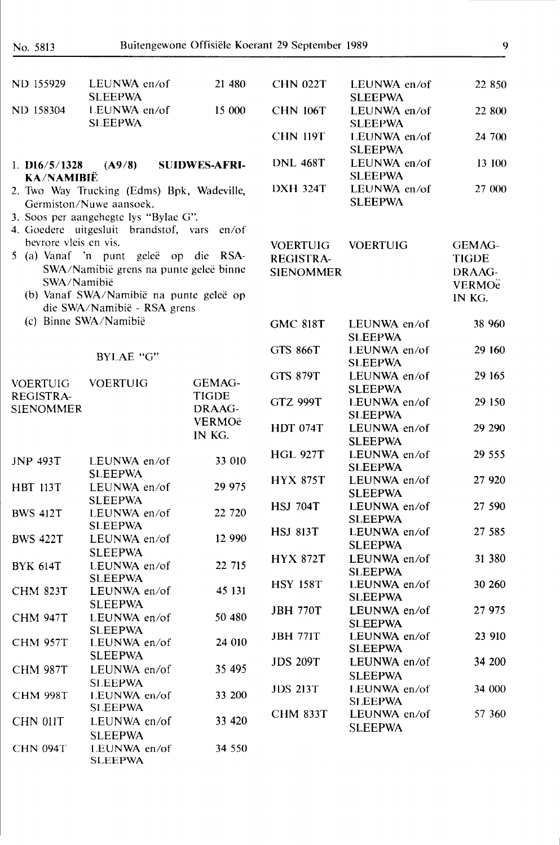| ND 155929                            | LEUNWA en/of<br><b>SLEEPWA</b>                                         | 21 480               | <b>CHN 022T</b>  | LEUNWA en/of<br><b>SLEEPWA</b> | 22 850                   |
|--------------------------------------|------------------------------------------------------------------------|----------------------|------------------|--------------------------------|--------------------------|
| ND 158304                            | LEUNWA en/of<br><b>SLEEPWA</b>                                         | 15 000               | <b>CHN 106T</b>  | LEUNWA en/of<br><b>SLEEPWA</b> | 22 800                   |
|                                      |                                                                        |                      | <b>CHN 119T</b>  | LEUNWA en/of<br><b>SLEEPWA</b> | 24 700                   |
| 1. $D16/5/1328$<br><b>KA/NAMIBIË</b> | (A9/8)                                                                 | <b>SUIDWES-AFRI-</b> | <b>DNL 468T</b>  | LEUNWA en/of<br><b>SLEEPWA</b> | 13 100                   |
|                                      | 2. Two Way Trucking (Edms) Bpk, Wadeville,                             |                      | <b>DXH 324T</b>  | LEUNWA en/of                   | 27 000                   |
|                                      | Germiston/Nuwe aansoek.                                                |                      |                  | <b>SLEEPWA</b>                 |                          |
|                                      | 3. Soos per aangehegte lys "Bylae G".                                  |                      |                  |                                |                          |
|                                      | 4. Goedere uitgesluit brandstof, vars                                  | en/of                |                  |                                |                          |
| bevrore vleis en vis.                |                                                                        |                      | <b>VOERTUIG</b>  | <b>VOERTUIG</b>                | <b>GEMAG-</b>            |
|                                      | 5 (a) Vanaf 'n punt geleë op die RSA-                                  |                      | <b>REGISTRA-</b> |                                | <b>TIGDE</b>             |
|                                      | SWA/Namibië grens na punte geleë binne                                 |                      | <b>SIENOMMER</b> |                                | DRAAG-                   |
| SWA/Namibië                          |                                                                        |                      |                  |                                | <b>VERMO<sub>e</sub></b> |
|                                      | (b) Vanaf SWA/Namibië na punte geleë op<br>die SWA/Namibië - RSA grens |                      |                  |                                | IN KG.                   |
|                                      | (c) Binne SWA/Namibië                                                  |                      | <b>GMC 818T</b>  | LEUNWA en/of                   | 38 960                   |
|                                      |                                                                        |                      |                  | <b>SLEEPWA</b>                 |                          |
|                                      |                                                                        |                      | <b>GTS 866T</b>  | LEUNWA en/of                   | 29 160                   |
|                                      | BYLAE "G"                                                              |                      |                  | <b>SLEEPWA</b>                 |                          |
|                                      | <b>VOERTUIG</b>                                                        | GEMAG-               | <b>GTS 879T</b>  | LEUNWA en/of                   | 29 165                   |
| <b>VOERTUIG</b><br>REGISTRA-         |                                                                        | <b>TIGDE</b>         |                  | <b>SLEEPWA</b>                 |                          |
| <b>SIENOMMER</b>                     |                                                                        | DRAAG-               | <b>GTZ 999T</b>  | LEUNWA en/of                   | 29 150                   |
|                                      |                                                                        | VERMOë               |                  | <b>SLEEPWA</b>                 |                          |
|                                      |                                                                        | IN KG.               | <b>HDT 074T</b>  | LEUNWA en/of<br><b>SLEEPWA</b> | 29 290                   |
| <b>JNP 493T</b>                      | LEUNWA en/of<br><b>SLEEPWA</b>                                         | 33 010               | <b>HGL 927T</b>  | LEUNWA en/of<br><b>SLEEPWA</b> | 29 555                   |
| <b>HBT 113T</b>                      | LEUNWA en/of                                                           | 29 975               | <b>HYX 875T</b>  | LEUNWA en/of                   | 27 920                   |
|                                      | <b>SLEEPWA</b>                                                         |                      |                  | <b>SLEEPWA</b>                 |                          |
| <b>BWS 412T</b>                      | LEUNWA en/of                                                           | 22 720               | <b>HSJ 704T</b>  | LEUNWA en/of                   | 27 590                   |
|                                      | <b>SLEEPWA</b>                                                         |                      | <b>HSJ 813T</b>  | <b>SLEEPWA</b><br>LEUNWA en/of | 27 585                   |
| <b>BWS 422T</b>                      | LEUNWA en/of                                                           | 12 990               |                  | <b>SLEEPWA</b>                 |                          |
|                                      | <b>SLEEPWA</b>                                                         |                      | <b>HYX 872T</b>  | LEUNWA en/of                   | 31 380                   |
| <b>BYK 614T</b>                      | LEUNWA en/of                                                           | 22 715               |                  | <b>SLEEPWA</b>                 |                          |
|                                      | <b>SLEEPWA</b>                                                         |                      | <b>HSY 158T</b>  | LEUNWA en/of                   | 30 260                   |
| <b>CHM 823T</b>                      | LEUNWA en/of                                                           | 45 131               |                  | <b>SLEEPWA</b>                 |                          |
|                                      | <b>SLEEPWA</b>                                                         | 50 480               | <b>JBH 770T</b>  | LEUNWA en/of                   | 27 975                   |
| <b>CHM 947T</b>                      | LEUNWA en/of<br><b>SLEEPWA</b>                                         |                      |                  | <b>SLEEPWA</b>                 |                          |
| <b>CHM 957T</b>                      | LEUNWA en/of                                                           | 24 010               | <b>JBH 771T</b>  | LEUNWA en/of                   | 23 910                   |
|                                      | <b>SLEEPWA</b>                                                         |                      |                  | <b>SLEEPWA</b>                 |                          |
| <b>CHM 987T</b>                      | LEUNWA en/of                                                           | 35 495               | <b>JDS 209T</b>  | LEUNWA en/of                   | 34 200                   |
|                                      | <b>SLEEPWA</b>                                                         |                      |                  | <b>SLEEPWA</b>                 |                          |
| <b>CHM 998T</b>                      | LEUNWA en/of                                                           | 33 200               | <b>JDS 213T</b>  | LEUNWA en/of                   | 34 000                   |
|                                      | <b>SLEEPWA</b>                                                         |                      |                  | <b>SLEEPWA</b>                 | 57 360                   |
| CHN 011T                             | LEUNWA en/of                                                           | 33 4 20              | <b>CHM 833T</b>  | LEUNWA en/of<br><b>SLEEPWA</b> |                          |
|                                      | <b>SLEEPWA</b>                                                         |                      |                  |                                |                          |
| <b>CHN 094T</b>                      | LEUNWA en/of<br><b>SLEEPWA</b>                                         | 34 550               |                  |                                |                          |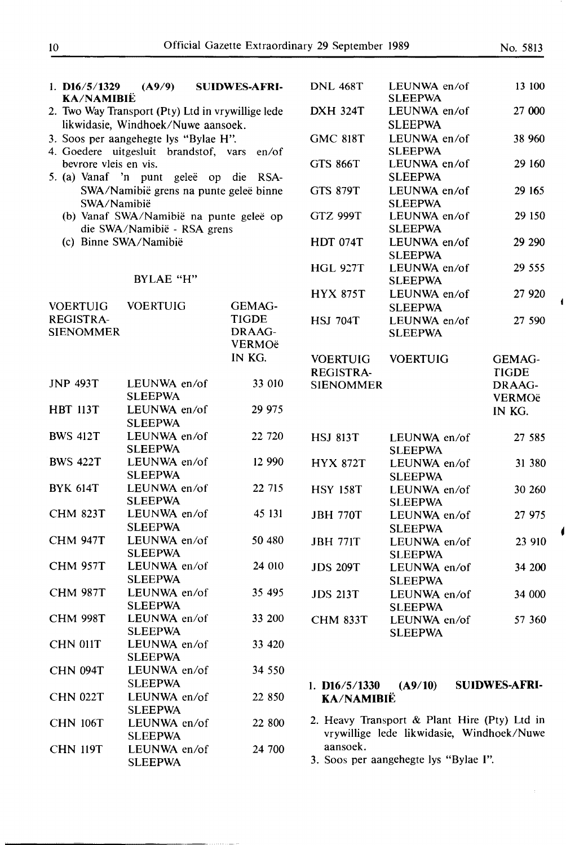| 1. $D16/5/1329$<br><b>KA/NAMIBIË</b>                                   | (A9/9)                                                                                  | <b>SUIDWES-AFRI-</b>                    | <b>DNL 468T</b>               | LEUNWA en/of<br><b>SLEEPWA</b>                                                            | 13 100                                  |
|------------------------------------------------------------------------|-----------------------------------------------------------------------------------------|-----------------------------------------|-------------------------------|-------------------------------------------------------------------------------------------|-----------------------------------------|
|                                                                        | 2. Two Way Transport (Pty) Ltd in vrywillige lede<br>likwidasie, Windhoek/Nuwe aansoek. |                                         | <b>DXH 324T</b>               | LEUNWA en/of<br><b>SLEEPWA</b>                                                            | 27 000                                  |
|                                                                        | 3. Soos per aangehegte lys "Bylae H".<br>4. Goedere uitgesluit brandstof, vars en/of    |                                         | <b>GMC 818T</b>               | LEUNWA en/of<br><b>SLEEPWA</b>                                                            | 38 960                                  |
| bevrore vleis en vis.                                                  | 5. (a) Vanaf 'n punt geleë op die RSA-                                                  |                                         | <b>GTS 866T</b>               | LEUNWA en/of<br><b>SLEEPWA</b>                                                            | 29 160                                  |
|                                                                        | SWA/Namibië grens na punte geleë binne<br>SWA/Namibië                                   |                                         | <b>GTS 879T</b>               | LEUNWA en/of<br><b>SLEEPWA</b>                                                            | 29 165                                  |
| (b) Vanaf SWA/Namibië na punte geleë op<br>die SWA/Namibië - RSA grens |                                                                                         |                                         | <b>GTZ 999T</b>               | LEUNWA en/of<br><b>SLEEPWA</b>                                                            | 29 150                                  |
|                                                                        | (c) Binne SWA/Namibië                                                                   |                                         | <b>HDT 074T</b>               | LEUNWA en/of<br><b>SLEEPWA</b>                                                            | 29 29 0                                 |
|                                                                        | BYLAE "H"                                                                               |                                         | <b>HGL 927T</b>               | LEUNWA en/of<br><b>SLEEPWA</b>                                                            | 29 555                                  |
| <b>VOERTUIG</b>                                                        | <b>VOERTUIG</b>                                                                         | GEMAG-                                  | <b>HYX 875T</b>               | LEUNWA en/of<br><b>SLEEPWA</b>                                                            | 27 9 20                                 |
| <b>REGISTRA-</b><br><b>SIENOMMER</b>                                   |                                                                                         | <b>TIGDE</b><br>DRAAG-<br><b>VERMOë</b> | <b>HSJ 704T</b>               | LEUNWA en/of<br><b>SLEEPWA</b>                                                            | 27 590                                  |
|                                                                        |                                                                                         | IN KG.                                  | <b>VOERTUIG</b>               | <b>VOERTUIG</b>                                                                           | <b>GEMAG-</b>                           |
| <b>JNP 493T</b>                                                        | LEUNWA en/of<br><b>SLEEPWA</b>                                                          | 33 010                                  | REGISTRA-<br><b>SIENOMMER</b> |                                                                                           | <b>TIGDE</b><br>DRAAG-<br><b>VERMOë</b> |
| <b>HBT 113T</b>                                                        | LEUNWA en/of<br><b>SLEEPWA</b>                                                          | 29 975                                  |                               |                                                                                           | IN KG.                                  |
| <b>BWS 412T</b>                                                        | LEUNWA en/of<br><b>SLEEPWA</b>                                                          | 22 720                                  | <b>HSJ 813T</b>               | LEUNWA en/of<br><b>SLEEPWA</b>                                                            | 27 585                                  |
| <b>BWS 422T</b>                                                        | LEUNWA en/of<br><b>SLEEPWA</b>                                                          | 12 990                                  | <b>HYX 872T</b>               | LEUNWA en/of<br><b>SLEEPWA</b>                                                            | 31 380                                  |
| <b>BYK 614T</b>                                                        | LEUNWA en/of<br><b>SLEEPWA</b>                                                          | 22 715                                  | <b>HSY 158T</b>               | LEUNWA en/of<br><b>SLEEPWA</b>                                                            | 30 260                                  |
| <b>CHM 823T</b>                                                        | LEUNWA en/of<br><b>SLEEPWA</b>                                                          | 45 131                                  | <b>JBH 770T</b>               | LEUNWA en/of<br><b>SLEEPWA</b>                                                            | 27 975                                  |
| <b>CHM 947T</b>                                                        | LEUNWA en/of<br><b>SLEEPWA</b>                                                          | 50 480                                  | <b>JBH 771T</b>               | LEUNWA en/of<br><b>SLEEPWA</b>                                                            | 23 910                                  |
| <b>CHM 957T</b>                                                        | LEUNWA en/of<br><b>SLEEPWA</b>                                                          | 24 010                                  | <b>JDS 209T</b>               | LEUNWA en/of<br><b>SLEEPWA</b>                                                            | 34 200                                  |
| <b>CHM 987T</b>                                                        | LEUNWA en/of<br><b>SLEEPWA</b>                                                          | 35 495                                  | <b>JDS 213T</b>               | LEUNWA en/of<br><b>SLEEPWA</b>                                                            | 34 000                                  |
| <b>CHM 998T</b>                                                        | LEUNWA en/of<br><b>SLEEPWA</b>                                                          | 33 200                                  | <b>CHM 833T</b>               | LEUNWA en/of<br><b>SLEEPWA</b>                                                            | 57 360                                  |
| <b>CHN 011T</b>                                                        | LEUNWA en/of<br><b>SLEEPWA</b>                                                          | 33 4 20                                 |                               |                                                                                           |                                         |
| <b>CHN 094T</b>                                                        | LEUNWA en/of<br><b>SLEEPWA</b>                                                          | 34 550                                  | 1. $D16/5/1330$               | (A9/10)                                                                                   | <b>SUIDWES-AFRI-</b>                    |
| <b>CHN 022T</b>                                                        | LEUNWA en/of<br><b>SLEEPWA</b>                                                          | 22 850                                  | <b>KA/NAMIBIË</b>             |                                                                                           |                                         |
| <b>CHN 106T</b>                                                        | LEUNWA en/of<br><b>SLEEPWA</b>                                                          | 22 800                                  |                               | 2. Heavy Transport & Plant Hire (Pty) Ltd in<br>vrywillige lede likwidasie, Windhoek/Nuwe |                                         |
| <b>CHN 119T</b>                                                        | LEUNWA en/of<br><b>SLEEPWA</b>                                                          | 24 700                                  | aansoek.                      | 3. Soos per aangehegte lys "Bylae I".                                                     |                                         |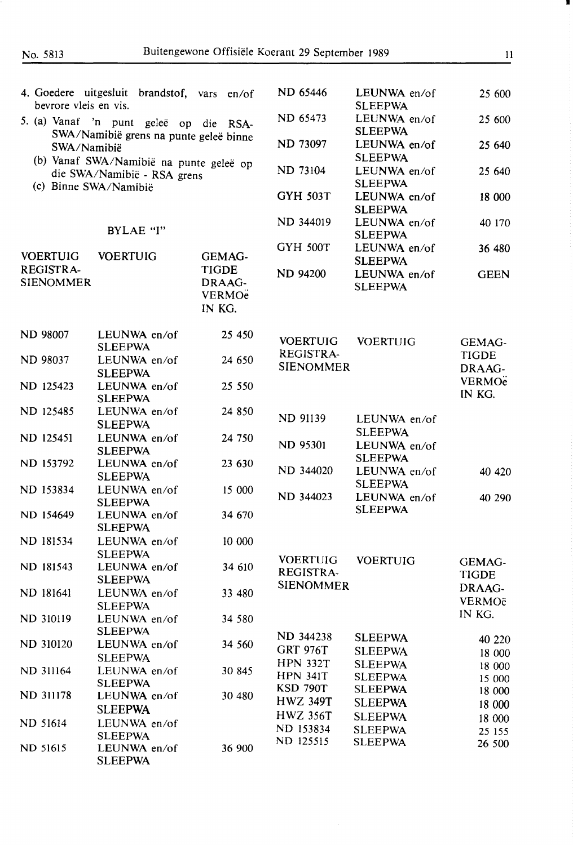| bevrore vleis en vis.                                                                            | 4. Goedere uitgesluit brandstof, vars en/of    |                                                              | ND 65446                             | LEUNWA en/of<br><b>SLEEPWA</b>   | 25 600                             |
|--------------------------------------------------------------------------------------------------|------------------------------------------------|--------------------------------------------------------------|--------------------------------------|----------------------------------|------------------------------------|
|                                                                                                  | 5. (a) Vanaf 'n punt geleë op die RSA-         |                                                              | ND 65473                             | LEUNWA en/of<br><b>SLEEPWA</b>   | 25 600                             |
| SWA/Namibië grens na punte geleë binne<br>SWA/Namibië<br>(b) Vanaf SWA/Namibië na punte geleë op |                                                |                                                              | ND 73097                             | LEUNWA en/of<br><b>SLEEPWA</b>   | 25 640                             |
| (c) Binne SWA/Namibië                                                                            | die SWA/Namibië - RSA grens                    |                                                              | ND 73104                             | LEUNWA en/of<br><b>SLEEPWA</b>   | 25 640                             |
|                                                                                                  |                                                |                                                              | <b>GYH 503T</b>                      | LEUNWA en/of<br><b>SLEEPWA</b>   | 18 000                             |
|                                                                                                  | BYLAE "I"                                      |                                                              | ND 344019                            | LEUNWA en/of<br><b>SLEEPWA</b>   | 40 170                             |
| <b>VOERTUIG</b>                                                                                  | <b>VOERTUIG</b>                                | <b>GEMAG-</b>                                                | <b>GYH 500T</b>                      | LEUNWA en/of<br><b>SLEEPWA</b>   | 36 480                             |
| <b>REGISTRA-</b><br><b>SIENOMMER</b>                                                             |                                                | <b>TIGDE</b><br>DRAAG-<br><b>VERMO<sub>e</sub></b><br>IN KG. | <b>ND 94200</b>                      | LEUNWA en/of<br><b>SLEEPWA</b>   | <b>GEEN</b>                        |
| <b>ND 98007</b>                                                                                  | LEUNWA en/of<br><b>SLEEPWA</b>                 | 25 450                                                       | <b>VOERTUIG</b>                      | <b>VOERTUIG</b>                  | GEMAG-                             |
| ND 98037                                                                                         | LEUNWA en/of<br><b>SLEEPWA</b>                 | 24 650                                                       | REGISTRA-<br><b>SIENOMMER</b>        |                                  | <b>TIGDE</b><br>DRAAG-             |
| ND 125423                                                                                        | LEUNWA en/of<br><b>SLEEPWA</b>                 | 25 550                                                       |                                      |                                  | <b>VERMO<sub>e</sub></b><br>IN KG. |
| ND 125485                                                                                        | LEUNWA en/of<br><b>SLEEPWA</b>                 | 24 850                                                       | ND 91139                             | LEUNWA en/of<br><b>SLEEPWA</b>   |                                    |
| ND 125451                                                                                        | LEUNWA en/of<br><b>SLEEPWA</b>                 | 24 750                                                       | <b>ND 95301</b>                      | LEUNWA en/of<br><b>SLEEPWA</b>   |                                    |
| ND 153792                                                                                        | LEUNWA en/of<br><b>SLEEPWA</b>                 | 23 630                                                       | ND 344020                            | LEUNWA en/of<br><b>SLEEPWA</b>   | 40 420                             |
| ND 153834<br>ND 154649                                                                           | LEUNWA en/of<br><b>SLEEPWA</b><br>LEUNWA en/of | 15 000<br>34 670                                             | ND 344023                            | LEUNWA en/of<br><b>SLEEPWA</b>   | 40 290                             |
| ND 181534                                                                                        | <b>SLEEPWA</b><br>LEUNWA en/of                 | 10 000                                                       |                                      |                                  |                                    |
|                                                                                                  | <b>SLEEPWA</b>                                 |                                                              | <b>VOERTUIG</b>                      | <b>VOERTUIG</b>                  | <b>GEMAG-</b>                      |
| ND 181543                                                                                        | LEUNWA en/of<br><b>SLEEPWA</b>                 | 34 610                                                       | <b>REGISTRA-</b><br><b>SIENOMMER</b> |                                  | <b>TIGDE</b><br>DRAAG-             |
| ND 181641                                                                                        | LEUNWA en/of<br><b>SLEEPWA</b>                 | 33 480                                                       |                                      |                                  | VERMOë<br>IN KG.                   |
| ND 310119                                                                                        | LEUNWA en/of<br><b>SLEEPWA</b>                 | 34 580                                                       | ND 344238                            | <b>SLEEPWA</b>                   | 40 220                             |
| ND 310120                                                                                        | LEUNWA en/of<br><b>SLEEPWA</b>                 | 34 560                                                       | <b>GRT 976T</b><br><b>HPN 332T</b>   | <b>SLEEPWA</b><br><b>SLEEPWA</b> | 18 000<br>18 000                   |
| <b>ND 311164</b>                                                                                 | LEUNWA en/of<br><b>SLEEPWA</b>                 | 30 845                                                       | <b>HPN 341T</b><br><b>KSD 790T</b>   | <b>SLEEPWA</b><br><b>SLEEPWA</b> | 15 000<br>18 000                   |
| <b>ND 311178</b>                                                                                 | LEUNWA en/of<br><b>SLEEPWA</b>                 | 30 480                                                       | <b>HWZ 349T</b><br><b>HWZ 356T</b>   | <b>SLEEPWA</b><br><b>SLEEPWA</b> | 18 000                             |
| ND 51614                                                                                         | LEUNWA en/of<br><b>SLEEPWA</b>                 |                                                              | ND 153834<br>ND 125515               | <b>SLEEPWA</b>                   | 18 000<br>25 155                   |
| ND 51615                                                                                         | LEUNWA en/of<br><b>SLEEPWA</b>                 | 36 900                                                       |                                      | <b>SLEEPWA</b>                   | 26 500                             |